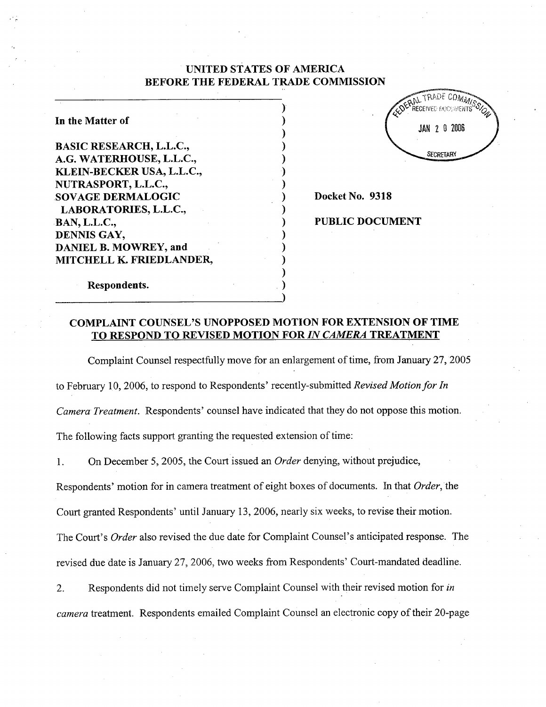# UNITED STATES OF AMERICA BEFORE THE FEDERAL TRADE COMMISSION

In the Matter of

BASIC RESEARCH, L.L.c., G. WATERHOUSE, L.L.c., KLEIN-BECKER USA, L.L.C., NUTRASPORT, L.L.c., SOV AGE DERMALOGIC LABORATORIES, L.L.c., BAN, L.L.c. DENNIS GAY, DANIEL B. MOWREY, and MITCHELL K. FRIEDLANDER



Docket No. 9318

PUBLIC DOCUMENT

Respondents.

### COMPLAINT COUNSEL'S UNOPPOSED MOTION FOR EXTENSION OF TIME TO RESPOND TO REVISED MOTION FOR IN CAMERA TREATMENT

Complaint Counsel respectfully move for an enlargement of time, from January 27 2005 to February 10, 2006, to respond to Respondents' recently-submitted Revised Motion for In Camera Treatment. Respondents' counsel have indicated that they do not oppose this motion. The following facts support granting the requested extension of time:

On December 5, 2005, the Court issued an *Order* denying, without prejudice, 1.

Respondents' motion for in camera treatment of eight boxes of documents. In that Order, the

Court granted Respondents' until January 13, 2006, nearly six weeks, to revise their motion.

The Court's *Order* also revised the due date for Complaint Counsel's anticipated response. The revised due date is January 27 2006, two weeks from Respondents' Court-mandated deadline.

Respondents did not timely serve Complaint Counsel with their revised motion for in 2. camera treatment. Respondents emailed Complaint Counsel an electronic copy of their 20-page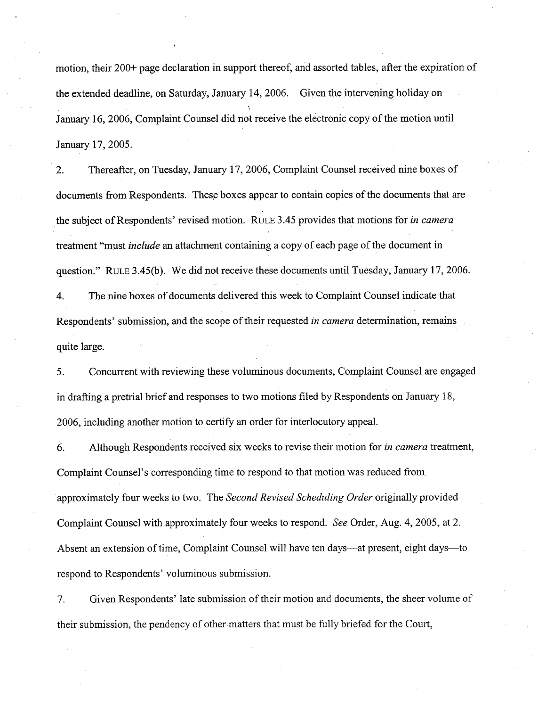motion, their 200+ page declaration in support thereof, and assorted tables, after the expiration of the extended deadline, on Saturday, January 14, 2006. Given the intervening holiday on January 16, 2006, Complaint Counsel did not receive the electronic copy of the motion until January 17, 2005.

Thereafter, on Tuesday, January 17, 2006, Complaint Counsel received nine boxes of  $2.$ documents from Respondents. These boxes appear to contain copies of the documents that are the subject of Respondents' revised motion. RULE 3.45 provides that motions for in camera treatment "must include an attachment containing a copy of each page of the document in question." RULE 3.45(b). We did not receive these documents until Tuesday, January 17, 2006.

 $4.$ The nine boxes of documents delivered this week to Complaint Counsel indicate that Respondents' submission, and the scope of their requested *in camera* determination, remains quite large.

Concurrent with reviewing these voluminous documents, Complaint Counsel are engaged 5. in drafting a pretrial brief and responses to two motions filed by Respondents on January 18 2006, including another motion to certify an order for interlocutory appeal.

6. Although Respondents received six weeks to revise their motion for in camera treatment, Complaint Counsel's corresponding time to respond to that motion was reduced from approximately four weeks to two. The Second Revised Scheduling Order originally provided Complaint Counsel with approximately four weeks to respond. See Order, Aug. 4, 2005, at 2. Absent an extension of time, Complaint Counsel will have ten days—at present, eight days—to respond to Respondents' voluminous submission.

 $7.$ Given Respondents' late submission of their motion and documents , the sheer volume of their submission, the pendency of other matters that must be fully briefed for the Court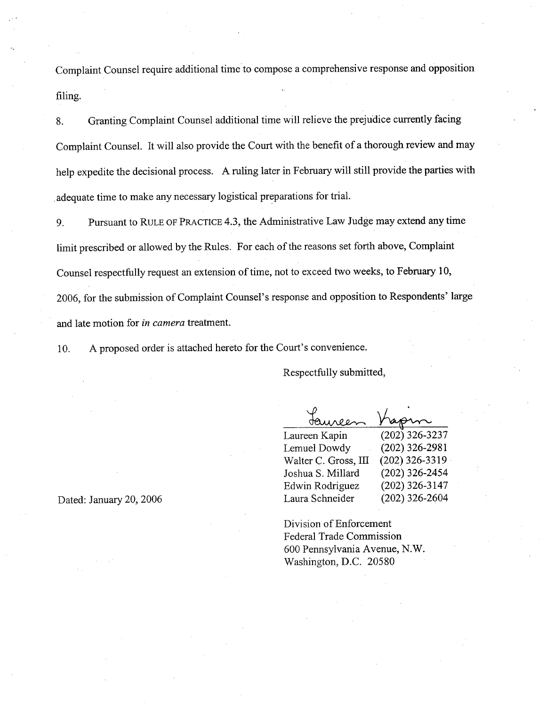Complaint Counsel require additional time to compose a comprehensive response and opposition filing.

Granting Complaint Counsel additional time will relieve the prejudice curently facing 8. Complaint Counsel. It will also provide the Court with the benefit of a thorough review and may help expedite the decisional process. A ruling later in February will still provide the parties with adequate time to make any necessary logistical preparations for trial.

Pursuant to RULE OF PRACTICE 4.3, the Administrative Law Judge may extend any time 9. limit prescribed or allowed by the Rules. For each of the reasons set forth above, Complaint Counsel respectfully request an extension of time, not to exceed two weeks, to February 10, 2006, for the submission of Complaint Counsel's response and opposition to Respondents' large and late motion for in camera treatment.

10. A proposed order is attached hereto for the Court's convenience.

Respectfully submitted

Laureen Kapin (202) 326-3237<br>Lemuel Dowdy (202) 326-2981 (202) 326-2981<br>(202) 326-3319 Walter C. Gross, III (202) 326-3319<br>Joshua S. Millard (202) 326-2454 Joshua S. Millard Edwin Rodriguez (202) 326-3147 Laura Schneider (202) 326-2604

Division of Enforcement Federal Trade Commission 600 Pennsylvania Avenue, N. Washington, D.C. 20580

Dated: January 20, 2006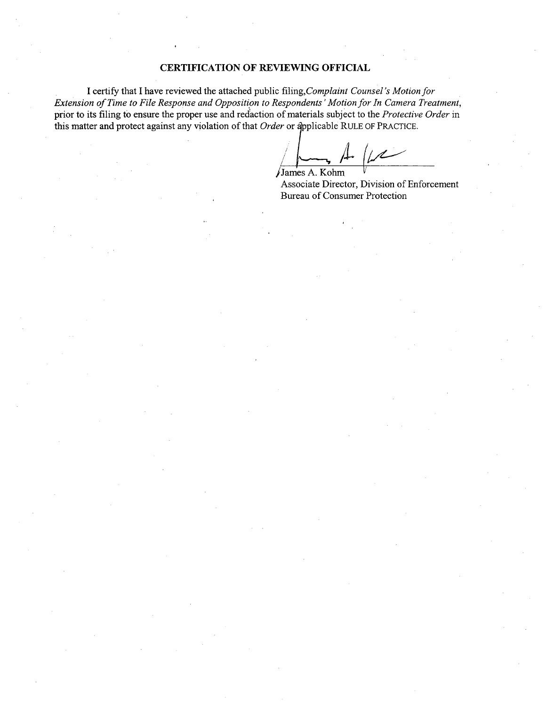#### CERTIFICATION OF REVIEWING OFFICIAL

I certify that I have reviewed the attached public filing, Complaint Counsel's Motion for Extension of Time to File Response and Opposition to Respondents' Motion for In Camera Treatment, prior to its filing to ensure the proper use and redaction of materials subject to the Protective Order in this matter and protect against any violation of that Order or applicable RULE OF PRACTICE.

James A. Kohm

Associate Director, Division of Enforcement Bureau of Consumer Protection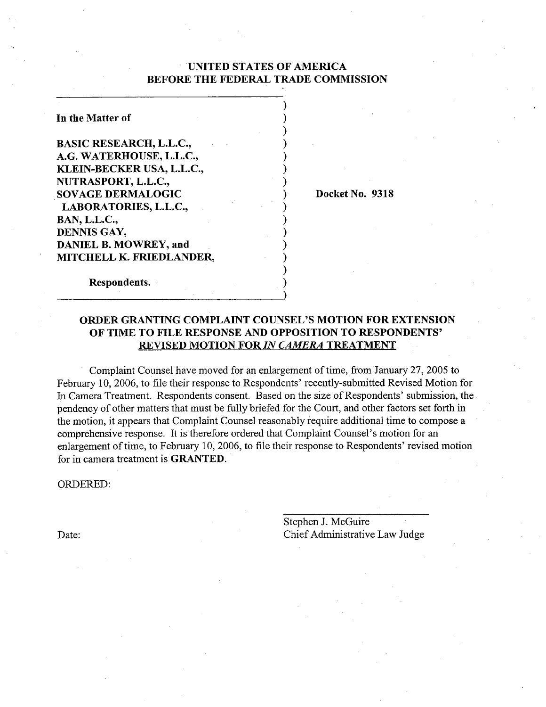## UNITED STATES OF AMERICA BEFORE THE FEDERAL TRADE COMMISSION

In the Matter of

BASIC RESEARCH, L.L.c., G. WATERHOUSE, L.L.C., KLEIN-BECKER USA, L.L.C. NUTRASPORT, L.L.C., SOVAGE DERMALOGIC LABORATORIES, L.L.c., BAN, L.L.c., DENNIS GAY, DANIEL B. MOWREY, and MITCHELL K. FRIEDLANDER

Docket No. 9318

Respondents.

## ORDER GRANTING COMPLAINT COUNSEL'S MOTION FOR EXTENSION OF TIME TO FILE RESPONSE AND OPPOSITION TO RESPONDENTS' REVISED MOTION FOR IN CAMERA TREATMENT

Complaint Counsel have moved for an enlargement of time, from January 27, 2005 to February 10, 2006, to file their response to Respondents' recently-submitted Revised Motion for In Camera Treatment. Respondents consent. Based on the size of Respondents' submission, the pendency of other matters that must be fully briefed for the Court, and other factors set forth in the motion, it appears that Complaint Counsel reasonably require additional time to compose a comprehensive response. It is therefore ordered that Complaint Counsel's motion for an enlargement of time, to February 10, 2006, to file their response to Respondents' revised motion for in camera treatment is GRANTED.

ORDERED:

Date:

Stephen J. McGuire Chief Administrative Law Judge